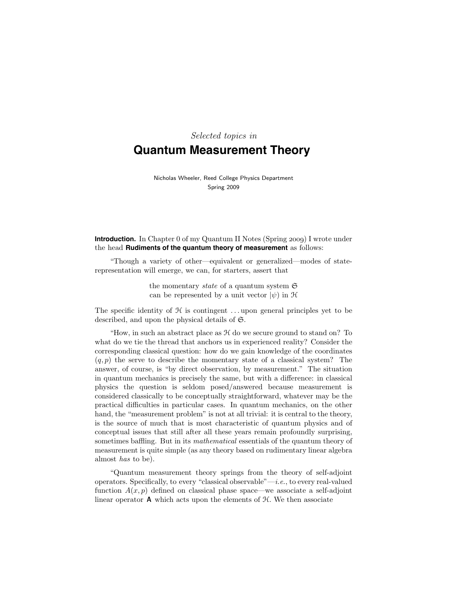# Selected topics in **Quantum Measurement Theory**

Nicholas Wheeler, Reed College Physics Department Spring 2009

**Introduction.** In Chapter 0 of my Quantum II Notes (Spring 2009) I wrote under the head **Rudiments of the quantum theory of measurement** as follows:

"Though a variety of other—equivalent or generalized—modes of staterepresentation will emerge, we can, for starters, assert that

> the momentary *state* of a quantum system  $\mathfrak{S}$ can be represented by a unit vector  $|\psi\rangle$  in H

The specific identity of  $H$  is contingent ... upon general principles yet to be described, and upon the physical details of S.

"How, in such an abstract place as H do we secure ground to stand on? To what do we tie the thread that anchors us in experienced reality? Consider the corresponding classical question: how do we gain knowledge of the coordinates  $(q, p)$  the serve to describe the momentary state of a classical system? The answer, of course, is "by direct observation, by measurement." The situation in quantum mechanics is precisely the same, but with a difference: in classical physics the question is seldom posed/answered because measurement is considered classically to be conceptually straightforward, whatever may be the practical difficulties in particular cases. In quantum mechanics, on the other hand, the "measurement problem" is not at all trivial: it is central to the theory, is the source of much that is most characteristic of quantum physics and of conceptual issues that still after all these years remain profoundly surprising, sometimes baffling. But in its *mathematical* essentials of the quantum theory of measurement is quite simple (as any theory based on rudimentary linear algebra almost has to be).

"Quantum measurement theory springs from the theory of self-adjoint operators. Specifically, to every "classical observable"—*i.e.*, to every real-valued function  $A(x, p)$  defined on classical phase space—we associate a self-adjoint linear operator  $\bf{A}$  which acts upon the elements of  $\mathcal{H}$ . We then associate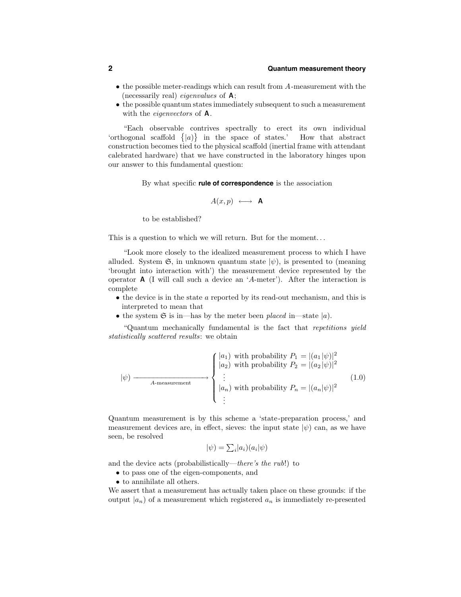### **2 Quantum measurement theory**

- the possible meter-readings which can result from A-measurement with the (necessarily real) *eigenvalues* of  $\mathbf{A}$ ;
- the possible quantum states immediately subsequent to such a measurement with the *eigenvectors* of **A**.

"Each observable contrives spectrally to erect its own individual 'orthogonal scaffold  $\{|a\rangle\}$  in the space of states.' How that abstract construction becomes tied to the physical scaffold (inertial frame with attendant calebrated hardware) that we have constructed in the laboratory hinges upon our answer to this fundamental question:

By what specific **rule of correspondence** is the association

$$
A(x,p) \longleftrightarrow \mathbf{A}
$$

to be established?

This is a question to which we will return. But for the moment. . .

"Look more closely to the idealized measurement process to which I have alluded. System  $\mathfrak{S}$ , in unknown quantum state  $|\psi\rangle$ , is presented to (meaning 'brought into interaction with') the measurement device represented by the operator A (I will call such a device an 'A-meter'). After the interaction is complete

- the device is in the state a reported by its read-out mechanism, and this is interpreted to mean that
- the system  $\mathfrak{S}$  is in—has by the meter been placed in—state  $|a\rangle$ .

"Quantum mechanically fundamental is the fact that repetitions yield statistically scattered results: we obtain

$$
|\psi\rangle \longrightarrow \left\{ \begin{aligned} |a_1| & \text{with probability } P_1 = |(a_1|\psi)|^2\\ |a_2| & \text{with probability } P_2 = |(a_2|\psi)|^2\\ &\vdots\\ |a_n| & \text{with probability } P_n = |(a_n|\psi)|^2\\ &\vdots \end{aligned} \right.\tag{1.0}
$$

Quantum measurement is by this scheme a 'state-preparation process,' and measurement devices are, in effect, sieves: the input state  $|\psi\rangle$  can, as we have seen, be resolved

$$
|\psi) = \sum_i |a_i\rangle (a_i|\psi)
$$

and the device acts (probabilistically—there's the rub!) to

- to pass one of the eigen-components, and
- to annihilate all others.

We assert that a measurement has actually taken place on these grounds: if the output  $|a_n\rangle$  of a measurement which registered  $a_n$  is immediately re-presented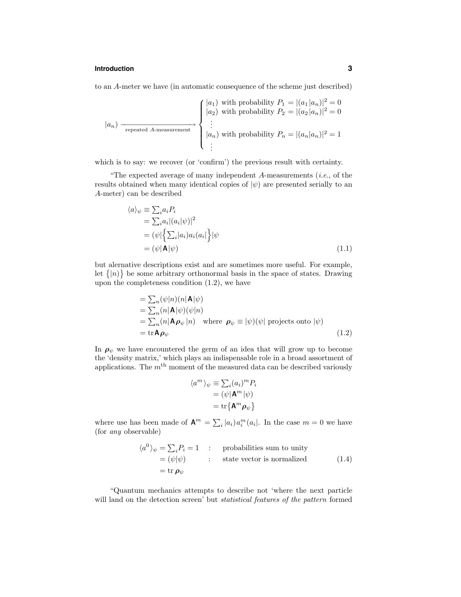#### **Introduction 3**

to an A-meter we have (in automatic consequence of the scheme just described)

$$
|a_n\rangle \longrightarrow \begin{cases} |a_1\rangle \text{ with probability } P_1 = |(a_1|a_n)|^2 = 0\\ |a_2\rangle \text{ with probability } P_2 = |(a_2|a_n)|^2 = 0\\ \vdots\\ |a_n\rangle \text{ with probability } P_n = |(a_n|a_n)|^2 = 1\\ \vdots \end{cases}
$$

which is to say: we recover (or 'confirm') the previous result with certainty.

"The expected average of many independent  $A$ -measurements  $(i.e.,$  of the results obtained when many identical copies of  $|\psi\rangle$  are presented serially to an A-meter) can be described

$$
\langle a \rangle_{\psi} \equiv \sum_{i} a_{i} P_{i}
$$
  
=  $\sum_{i} a_{i} |(a_{i}|\psi)|^{2}$   
=  $(\psi | \sum_{i} |a_{i}) a_{i} (a_{i} | \psi)$   
=  $(\psi | \mathbf{A} | \psi)$  (1.1)

but alernative descriptions exist and are sometimes more useful. For example, let  $\{|n\rangle\}$  be some arbitrary orthonormal basis in the space of states. Drawing upon the completeness condition (1.2), we have

$$
= \sum_{n} (\psi|n)(n|\mathbf{A}|\psi)
$$
  
=  $\sum_{n} (n|\mathbf{A}|\psi)(\psi|n)$   
=  $\sum_{n} (n|\mathbf{A}\boldsymbol{\rho}_{\psi}|n)$  where  $\boldsymbol{\rho}_{\psi} \equiv |\psi)(\psi|$  projects onto  $|\psi)$   
= tr $\mathbf{A}\boldsymbol{\rho}_{\psi}$  (1.2)

In  $\rho_{\psi}$  we have encountered the germ of an idea that will grow up to become the 'density matrix,' which plays an indispensable role in a broad assortment of applications. The  $m<sup>th</sup>$  moment of the measured data can be described variously

$$
\langle a^m \rangle_{\psi} \equiv \sum_i (a_i)^m P_i
$$
  
=  $(\psi | \mathbf{A}^m | \psi)$   
=  $\text{tr} \{ \mathbf{A}^m \boldsymbol{\rho}_{\psi} \}$ 

where use has been made of  $\mathbf{A}^m = \sum_i |a_i\rangle a_i^m (a_i)$ . In the case  $m = 0$  we have (for any observable)

$$
\langle a^{0} \rangle_{\psi} = \sum_{i} P_{i} = 1 \quad : \quad \text{probabilities sum to unity}
$$

$$
= (\psi | \psi) \quad : \quad \text{state vector is normalized}
$$

$$
= \text{tr } \rho_{\psi} \qquad (1.4)
$$

"Quantum mechanics attempts to describe not 'where the next particle will land on the detection screen' but *statistical features of the pattern* formed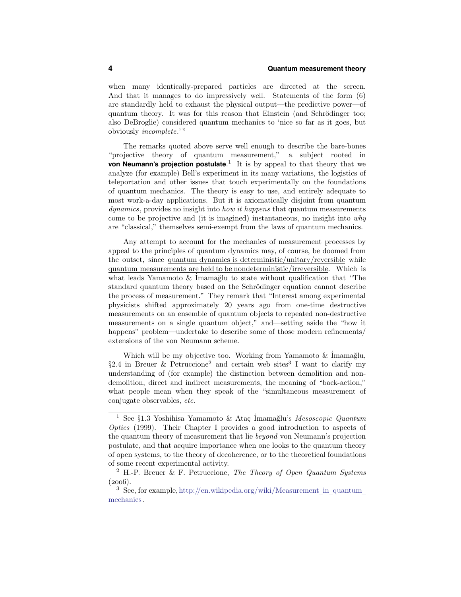when many identically-prepared particles are directed at the screen. And that it manages to do impressively well. Statements of the form (6) are standardly held to exhaust the physical output—the predictive power—of quantum theory. It was for this reason that Einstein (and Schrödinger too; also DeBroglie) considered quantum mechanics to 'nice so far as it goes, but obviously incomplete.' "

The remarks quoted above serve well enough to describe the bare-bones "projective theory of quantum measurement," a subject rooted in **von Neumann's projection postulate**. <sup>1</sup> It is by appeal to that theory that we analyze (for example) Bell's experiment in its many variations, the logistics of teleportation and other issues that touch experimentally on the foundations of quantum mechanics. The theory is easy to use, and entirely adequate to most work-a-day applications. But it is axiomatically disjoint from quantum dynamics, provides no insight into *how it happens* that quantum measurements come to be projective and (it is imagined) instantaneous, no insight into  $why$ are "classical," themselves semi-exempt from the laws of quantum mechanics.

Any attempt to account for the mechanics of measurement processes by appeal to the principles of quantum dynamics may, of course, be doomed from the outset, since quantum dynamics is deterministic/unitary/reversible while quantum measurements are held to be nondeterministic/irreversible. Which is what leads Yamamoto & Imamağlu to state without qualification that "The standard quantum theory based on the Schrödinger equation cannot describe the process of measurement." They remark that "Interest among experimental physicists shifted approximately 20 years ago from one-time destructive measurements on an ensemble of quantum objects to repeated non-destructive measurements on a single quantum object," and—setting aside the "how it happens" problem—undertake to describe some of those modern refinements/ extensions of the von Neumann scheme.

Which will be my objective too. Working from Yamamoto  $\&$  İmamağlu, §2.4 in Breuer & Petruccione<sup>2</sup> and certain web sites<sup>3</sup> I want to clarify my understanding of (for example) the distinction between demolition and nondemolition, direct and indirect measurements, the meaning of "back-action," what people mean when they speak of the "simultaneous measurement of conjugate observables, etc.

 $^1$  See  $\S 1.3$  Yoshihisa Yamamoto & Ataç İmamağlu's Mesoscopic Quantum Optics (1999). Their Chapter I provides a good introduction to aspects of the quantum theory of measurement that lie beyond von Neumann's projection postulate, and that acquire importance when one looks to the quantum theory of open systems, to the theory of decoherence, or to the theoretical foundations of some recent experimental activity.

 $2$  H.-P. Breuer & F. Petruccione, The Theory of Open Quantum Systems  $(2006).$ 

<sup>3</sup> See, for example, http://en.wikipedia.org/wiki/Measurement in quantum mechanics.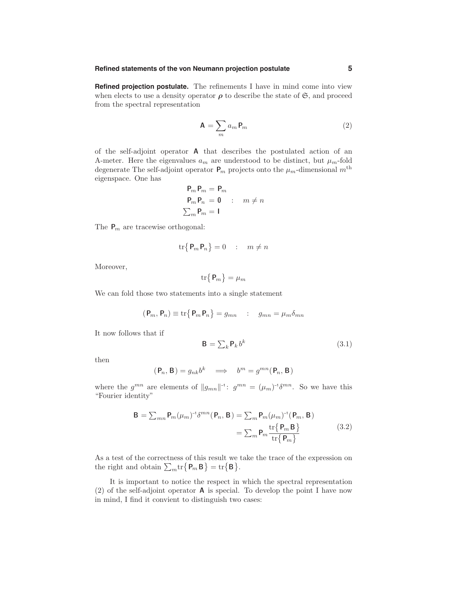#### **Refined statements of the von Neumann projection postulate 5**

**Refined projection postulate.** The refinements I have in mind come into view when elects to use a density operator  $\rho$  to describe the state of  $\mathfrak{S}$ , and proceed from the spectral representation

$$
\mathbf{A} = \sum_{m} a_m \mathbf{P}_m \tag{2}
$$

of the self-adjoint operator A that describes the postulated action of an A-meter. Here the eigenvalues  $a_m$  are understood to be distinct, but  $\mu_m$ -fold degenerate The self-adjoint operator  $P_m$  projects onto the  $\mu_m$ -dimensional  $m<sup>th</sup>$ eigenspace. One has

$$
\begin{aligned}\n\mathbf{P}_m \mathbf{P}_m &= \mathbf{P}_m \\
\mathbf{P}_m \mathbf{P}_n &= \mathbf{0} \quad : \quad m \neq n \\
\sum_m \mathbf{P}_m &= \mathbf{I}\n\end{aligned}
$$

The  $P_m$  are tracewise orthogonal:

$$
\operatorname{tr}\left\{\mathbf{P}_m \mathbf{P}_n\right\} = 0 \quad : \quad m \neq n
$$

Moreover,

$$
\mathrm{tr}\big\{\,\mathsf{P}_m\big\} = \mu_m
$$

We can fold those two statements into a single statement

$$
(\mathbf{P}_m, \mathbf{P}_n) \equiv \text{tr}\{\mathbf{P}_m \mathbf{P}_n\} = g_{mn} \quad : \quad g_{mn} = \mu_m \delta_{mn}
$$

It now follows that if

$$
\mathbf{B} = \sum_{k} \mathbf{P}_k b^k \tag{3.1}
$$

then

$$
(\mathbf{P}_n, \mathbf{B}) = g_{nk} b^k \implies b^m = g^{mn}(\mathbf{P}_n, \mathbf{B})
$$

where the  $g^{mn}$  are elements of  $||g_{mn}||^{-1}$ :  $g^{mn} = (\mu_m)^{-1} \delta^{mn}$ . So we have this "Fourier identity"

$$
\mathbf{B} = \sum_{mn} \mathbf{P}_m(\mu_m)^{-1} \delta^{mn}(\mathbf{P}_n, \mathbf{B}) = \sum_m \mathbf{P}_m(\mu_m)^{-1}(\mathbf{P}_m, \mathbf{B})
$$

$$
= \sum_m \mathbf{P}_m \frac{\text{tr}\{\mathbf{P}_m \mathbf{B}\}}{\text{tr}\{\mathbf{P}_m\}}
$$
(3.2)

As a test of the correctness of this result we take the trace of the expression on the right and obtain  $\sum_m \text{tr}\{\mathsf{P}_m \mathsf{B}\} = \text{tr}\{\mathsf{B}\}.$ 

It is important to notice the respect in which the spectral representation (2) of the self-adjoint operator A is special. To develop the point I have now in mind, I find it convient to distinguish two cases: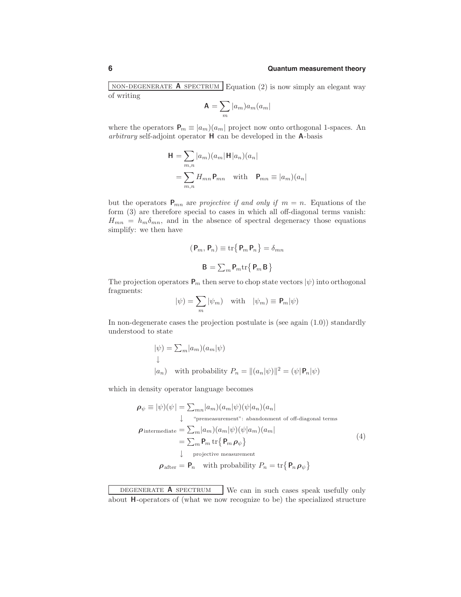NON-DEGENERATE **A** SPECTRUM Equation (2) is now simply an elegant way of writing

$$
\mathbf{A} = \sum_{m} |a_m| a_m (a_m|
$$

where the operators  $P_m \equiv |a_m\rangle(a_m)$  project now onto orthogonal 1-spaces. An arbitrary self-adjoint operator H can be developed in the A-basis

$$
\mathbf{H} = \sum_{m,n} |a_m\rangle (a_m | \mathbf{H} | a_n) (a_n |
$$
  
= 
$$
\sum_{m,n} H_{mn} \mathbf{P}_{mn} \text{ with } \mathbf{P}_{mn} \equiv |a_m\rangle (a_n |
$$

but the operators  $P_{mn}$  are projective if and only if  $m = n$ . Equations of the form (3) are therefore special to cases in which all off-diagonal terms vanish:  $H_{mn} = h_m \delta_{mn}$ , and in the absence of spectral degeneracy those equations simplify: we then have

$$
(\mathbf{P}_m, \mathbf{P}_n) \equiv \text{tr}\{\mathbf{P}_m \mathbf{P}_n\} = \delta_{mn}
$$

$$
\mathbf{B} = \sum_m \mathbf{P}_m \text{tr}\{\mathbf{P}_m \mathbf{B}\}
$$

The projection operators  $P_m$  then serve to chop state vectors  $|\psi\rangle$  into orthogonal fragments:

$$
|\psi) = \sum_{m} |\psi_m) \quad \text{with} \quad |\psi_m) \equiv \mathbf{P}_m |\psi)
$$

In non-degenerate cases the projection postulate is (see again  $(1.0)$ ) standardly understood to state

$$
\begin{aligned} |\psi) &= \textstyle{\sum_m} |a_m)(a_m|\psi) \\ \downarrow \\ |a_n) \quad \text{with probability } P_n &= \| (a_n|\psi) \|^2 = (\psi|\mathbf{P}_n|\psi) \end{aligned}
$$

which in density operator language becomes

$$
\rho_{\psi} \equiv |\psi\rangle(\psi| = \sum_{mn} |a_m\rangle(a_m|\psi)(\psi|a_n)(a_n|
$$
\n
$$
\downarrow \text{ "premeasurement": } \text{abandoment of off-diagonal terms}
$$
\n
$$
\rho_{\text{intermediate}} = \sum_{m} |a_m\rangle(a_m|\psi)(\psi|a_m)(a_m|
$$
\n
$$
= \sum_{m} P_m \text{ tr}\{P_m \rho_{\psi}\}
$$
\n
$$
\downarrow \text{ projective measurement}
$$
\n
$$
\rho_{\text{after}} = P_n \quad \text{with probability } P_n = \text{tr}\{P_n \rho_{\psi}\}
$$
\n(4)

DEGENERATE **A** SPECTRUM We can in such cases speak usefully only about H-operators of (what we now recognize to be) the specialized structure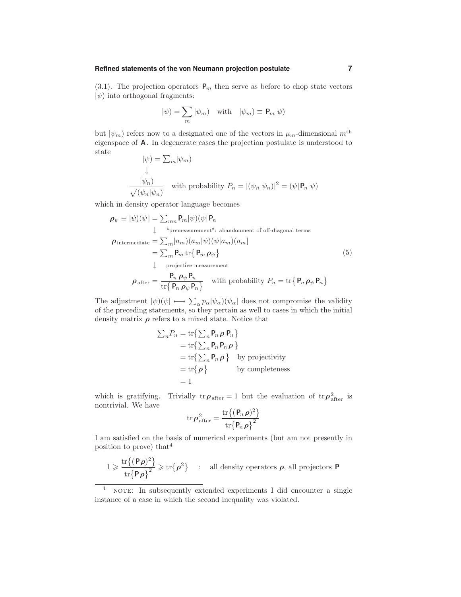#### **Refined statements of the von Neumann projection postulate 7**

(3.1). The projection operators  $P_m$  then serve as before to chop state vectors  $|\psi\rangle$  into orthogonal fragments:

$$
|\psi) = \sum_{m} |\psi_m) \quad \text{with} \quad |\psi_m) \equiv \mathbf{P}_m |\psi)
$$

but  $|\psi_m\rangle$  refers now to a designated one of the vectors in  $\mu_m$ -dimensional  $m^{\text{th}}$ eigenspace of A. In degenerate cases the projection postulate is understood to state

$$
|\psi\rangle = \sum_{m} |\psi_{m}\rangle
$$
  
\n
$$
\frac{|\psi_{n}\rangle}{\sqrt{(\psi_{n}|\psi_{n})}}
$$
 with probability  $P_{n} = |(\psi_{n}|\psi_{n})|^{2} = (\psi | \mathbf{P}_{n}|\psi)$ 

which in density operator language becomes

$$
\rho_{\psi} \equiv |\psi\rangle(\psi| = \sum_{mn} P_m |\psi\rangle(\psi| P_n)
$$
\n
$$
\downarrow \quad \text{"premeasurement": abandonment of off-diagonal terms}
$$
\n
$$
\rho_{\text{intermediate}} = \sum_{m} |a_m\rangle(a_m |\psi\rangle(\psi| a_m) (a_m)
$$
\n
$$
= \sum_{m} P_m \text{ tr} \{ P_m \rho_{\psi} \}
$$
\n
$$
\downarrow \quad \text{projective measurement}
$$
\n
$$
\rho_{\text{after}} = \frac{P_n \rho_{\psi} P_n}{\text{tr} \{ P_n \rho_{\psi} P_n \}} \quad \text{with probability } P_n = \text{tr} \{ P_n \rho_{\psi} P_n \}
$$
\n(5)

$$
\text{The adjustment } |\psi\rangle(\psi| \longmapsto \sum_{\alpha} p_{\alpha} |\psi_{\alpha}\rangle(\psi_{\alpha}| \text{ does not compromise the validity of the preceding statements, so they pertain as well to cases in which the initial condition.}
$$

of the preceding statements, so they pertain as well to cases in which the initial density matrix  $\boldsymbol{\rho}$  refers to a mixed state. Notice that

$$
\sum_{n} P_{n} = \text{tr}\left\{\sum_{n} \mathbf{P}_{n} \rho \mathbf{P}_{n}\right\}
$$
  
= tr\left\{\sum\_{n} \mathbf{P}\_{n} \mathbf{P}\_{n} \rho\right\}  
= tr\left\{\sum\_{n} \mathbf{P}\_{n} \rho\right\} \text{ by projectivity}  
= tr\left\{\rho\right\} \text{ by completeness}  
= 1

which is gratifying. Trivially  $tr\rho_{after} = 1$  but the evaluation of  $tr\rho_{after}^2$  is nontrivial. We have

$$
\mathrm{tr}\,\boldsymbol{\rho}^2_{\mathrm{after}}=\frac{\mathrm{tr}\big\{(\mathbf{P}_n\,\boldsymbol{\rho})^2\big\}}{\mathrm{tr}\big\{\mathbf{P}_n\,\boldsymbol{\rho}\big\}^2}
$$

I am satisfied on the basis of numerical experiments (but am not presently in position to prove) that<sup>4</sup>

$$
1\geqslant \frac{\mathrm{tr}\left\{(\mathsf{P}\rho)^2\right\}}{\mathrm{tr}\left\{\mathsf{P}\rho\right\}^2}\geqslant \mathrm{tr}\left\{\rho^2\right\} \quad : \quad \text{all density operators $\rho$, all projectors $\mathsf{P}$}
$$

 $4$  NOTE: In subsequently extended experiments I did encounter a single instance of a case in which the second inequality was violated.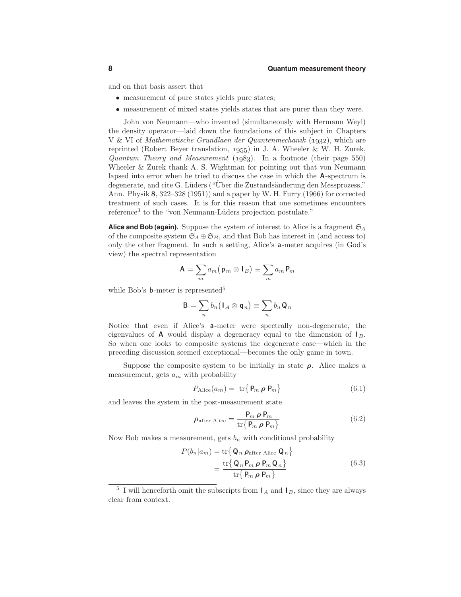and on that basis assert that

- measurement of pure states yields pure states;
- measurement of mixed states yields states that are purer than they were.

John von Neumann—who invented (simultaneously with Hermann Weyl) the density operator—laid down the foundations of this subject in Chapters V & VI of Mathematische Grundlaen der Quantenmechanik (1932), which are reprinted (Robert Beyer translation, 1955) in J. A. Wheeler  $&$  W. H. Zurek, Quantum Theory and Measurement  $(1.083)$ . In a footnote (their page 550) Wheeler & Zurek thank A. S. Wightman for pointing out that von Neumann lapsed into error when he tried to discuss the case in which the A-spectrum is degenerate, and cite G. Lüders ("Uber die Zustandsänderung den Messprozess," Ann. Physik 8, 322–328 (1951)) and a paper by W. H. Furry (1966) for corrected treatment of such cases. It is for this reason that one sometimes encounters reference<sup>3</sup> to the "von Neumann-Lüders projection postulate."

**Alice and Bob (again).** Suppose the system of interest to Alice is a fragment  $\mathfrak{S}_A$ of the composite system  $\mathfrak{S}_A \oplus \mathfrak{S}_B$ , and that Bob has interest in (and access to) only the other fragment. In such a setting, Alice's a-meter acquires (in God's view) the spectral representation

$$
\mathbf{A}=\sum_{m}a_{m}\big(\mathbf{p}_{m}\otimes\mathbf{I}_{B}\big)\equiv\sum_{m}a_{m}\mathbf{P}_{m}
$$

while Bob's **b**-meter is represented<sup>5</sup>

$$
\mathbf{B} = \sum_n b_n (\mathbf{I}_A \otimes \mathbf{q}_n) \equiv \sum_n b_n \mathbf{Q}_n
$$

Notice that even if Alice's a-meter were spectrally non-degenerate, the eigenvalues of **A** would display a degeneracy equal to the dimension of  $I_B$ . So when one looks to composite systems the degenerate case—which in the preceding discussion seemed exceptional—becomes the only game in town.

Suppose the composite system to be initially in state  $\rho$ . Alice makes a measurement, gets  $a_m$  with probability

$$
P_{\text{Alice}}(a_m) = \text{ tr}\left\{ \mathbf{P}_m \, \boldsymbol{\rho} \, \mathbf{P}_m \right\} \tag{6.1}
$$

and leaves the system in the post-measurement state

$$
\rho_{\text{after Alice}} = \frac{\mathbf{P}_m \, \rho \, \mathbf{P}_m}{\text{tr}\left\{ \mathbf{P}_m \, \rho \, \mathbf{P}_m \right\}} \tag{6.2}
$$

Now Bob makes a measurement, gets  $b_n$  with conditional probability

$$
P(b_n|a_m) = \text{tr}\{\mathbf{Q}_n \, \rho_{\text{after Alice}} \, \mathbf{Q}_n\}
$$

$$
= \frac{\text{tr}\{\mathbf{Q}_n \, \mathbf{P}_m \, \rho \, \mathbf{P}_m \, \mathbf{Q}_n\}}{\text{tr}\{\mathbf{P}_m \, \rho \, \mathbf{P}_m\}} \tag{6.3}
$$

 $5$  I will henceforth omit the subscripts from  $I_A$  and  $I_B$ , since they are always clear from context.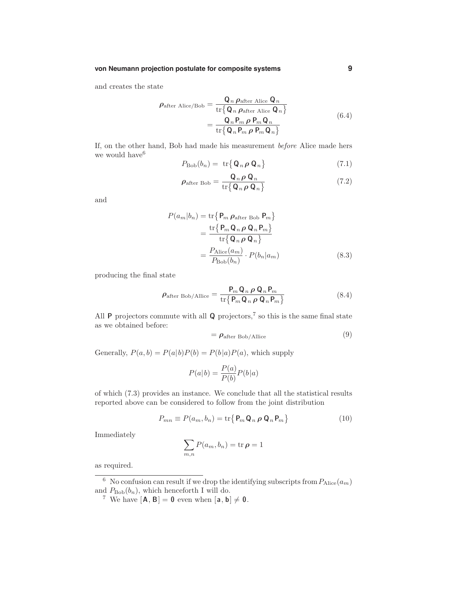and creates the state

$$
\rho_{\text{after Alice/Bob}} = \frac{\mathbf{Q}_n \rho_{\text{after Alice}} \mathbf{Q}_n}{\text{tr}\{\mathbf{Q}_n \rho_{\text{after Alice}} \mathbf{Q}_n\}} = \frac{\mathbf{Q}_n P_m \rho P_m \mathbf{Q}_n}{\text{tr}\{\mathbf{Q}_n P_m \rho P_m \mathbf{Q}_n\}}
$$
\n(6.4)

If, on the other hand, Bob had made his measurement before Alice made hers we would have<sup>6</sup>

$$
P_{\text{Bob}}(b_n) = \text{ tr}\{\mathbf{Q}_n \rho \mathbf{Q}_n\} \tag{7.1}
$$

$$
\rho_{\text{after Bob}} = \frac{\mathbf{Q}_n \rho \mathbf{Q}_n}{\text{tr}\{\mathbf{Q}_n \rho \mathbf{Q}_n\}}\tag{7.2}
$$

and

$$
P(a_m|b_n) = \text{tr}\left\{\mathbf{P}_m \, \rho_{\text{after Bob}} \, \mathbf{P}_m\right\}
$$

$$
= \frac{\text{tr}\left\{\mathbf{P}_m \, \mathbf{Q}_n \, \rho \, \mathbf{Q}_n \, \mathbf{P}_m\right\}}{\text{tr}\left\{\mathbf{Q}_n \, \rho \, \mathbf{Q}_n\right\}}
$$

$$
= \frac{P_{\text{Alice}}(a_m)}{P_{\text{Bob}}(b_n)} \cdot P(b_n|a_m) \tag{8.3}
$$

producing the final state

$$
\rho_{\text{after Bob/Allice}} = \frac{\mathbf{P}_m \mathbf{Q}_n \rho \mathbf{Q}_n \mathbf{P}_m}{\text{tr} \{ \mathbf{P}_m \mathbf{Q}_n \rho \mathbf{Q}_n \mathbf{P}_m \}}
$$
(8.4)

All  $P$  projectors commute with all  $Q$  projectors,<sup>7</sup> so this is the same final state as we obtained before:

$$
= \rho_{\text{after Bob/Allice}} \tag{9}
$$

Generally,  $P(a, b) = P(a|b)P(b) = P(b|a)P(a)$ , which supply

$$
P(a|b) = \frac{P(a)}{P(b)}P(b|a)
$$

of which (7.3) provides an instance. We conclude that all the statistical results reported above can be considered to follow from the joint distribution

$$
P_{mn} \equiv P(a_m, b_n) = \text{tr}\{P_m \mathbf{Q}_n \, \boldsymbol{\rho} \, \mathbf{Q}_n P_m\} \tag{10}
$$

Immediately

$$
\sum_{m,n} P(a_m, b_n) = \text{tr}\,\boldsymbol{\rho} = 1
$$

as required.

<sup>&</sup>lt;sup>6</sup> No confusion can result if we drop the identifying subscripts from  $P_{\text{Alice}}(a_m)$ and  $P_{\text{Bob}}(b_n)$ , which henceforth I will do.

<sup>&</sup>lt;sup>7</sup> We have  $[\mathbf{A}, \mathbf{B}] = \mathbf{0}$  even when  $[\mathbf{a}, \mathbf{b}] \neq \mathbf{0}$ .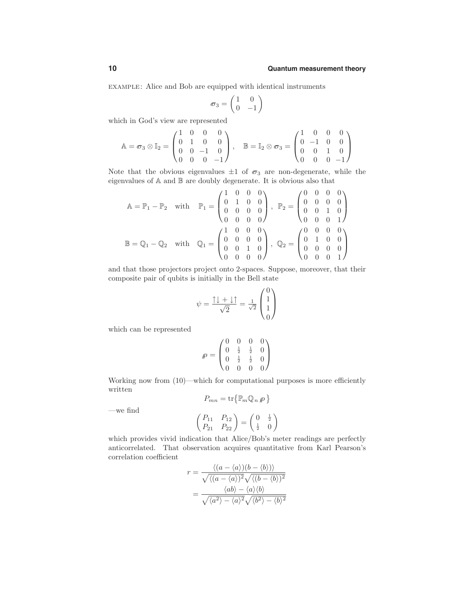example: Alice and Bob are equipped with identical instruments

$$
\sigma_3 = \begin{pmatrix} 1 & 0 \\ 0 & -1 \end{pmatrix}
$$

which in God's view are represented

$$
\mathbb{A} = \sigma_3 \otimes \mathbb{I}_2 = \begin{pmatrix} 1 & 0 & 0 & 0 \\ 0 & 1 & 0 & 0 \\ 0 & 0 & -1 & 0 \\ 0 & 0 & 0 & -1 \end{pmatrix}, \quad \mathbb{B} = \mathbb{I}_2 \otimes \sigma_3 = \begin{pmatrix} 1 & 0 & 0 & 0 \\ 0 & -1 & 0 & 0 \\ 0 & 0 & 1 & 0 \\ 0 & 0 & 0 & -1 \end{pmatrix}
$$

Note that the obvious eigenvalues  $\pm 1$  of  $\sigma_3$  are non-degenerate, while the eigenvalues of A and B are doubly degenerate. It is obvious also that

$$
\mathbb{A} = \mathbb{P}_1 - \mathbb{P}_2 \quad \text{with} \quad \mathbb{P}_1 = \begin{pmatrix} 1 & 0 & 0 & 0 \\ 0 & 1 & 0 & 0 \\ 0 & 0 & 0 & 0 \\ 0 & 0 & 0 & 0 \end{pmatrix}, \quad \mathbb{P}_2 = \begin{pmatrix} 0 & 0 & 0 & 0 \\ 0 & 0 & 0 & 0 \\ 0 & 0 & 1 & 0 \\ 0 & 0 & 0 & 1 \end{pmatrix}
$$

$$
\mathbb{B} = \mathbb{Q}_1 - \mathbb{Q}_2 \quad \text{with} \quad \mathbb{Q}_1 = \begin{pmatrix} 1 & 0 & 0 & 0 \\ 0 & 0 & 0 & 0 \\ 0 & 0 & 1 & 0 \\ 0 & 0 & 0 & 0 \end{pmatrix}, \quad \mathbb{Q}_2 = \begin{pmatrix} 0 & 0 & 0 & 0 \\ 0 & 1 & 0 & 0 \\ 0 & 0 & 0 & 0 \\ 0 & 0 & 0 & 1 \end{pmatrix}
$$

and that those projectors project onto 2-spaces. Suppose, moreover, that their composite pair of qubits is initially in the Bell state

$$
\psi = \frac{\uparrow \downarrow + \downarrow \uparrow}{\sqrt{2}} = \frac{1}{\sqrt{2}} \begin{pmatrix} 0 \\ 1 \\ 1 \\ 0 \end{pmatrix}
$$

which can be represented

$$
\varphi = \begin{pmatrix} 0 & 0 & 0 & 0 \\ 0 & \frac{1}{2} & \frac{1}{2} & 0 \\ 0 & \frac{1}{2} & \frac{1}{2} & 0 \\ 0 & 0 & 0 & 0 \end{pmatrix}
$$

Working now from (10)—which for computational purposes is more efficiently written

$$
P_{mn}=\mathrm{tr}\big\{\mathbb{P}_m\mathbb{Q}_n\,\rho\,\big\}
$$

—we find

$$
\begin{pmatrix} P_{11} & P_{12} \\ P_{21} & P_{22} \end{pmatrix} = \begin{pmatrix} 0 & \frac{1}{2} \\ \frac{1}{2} & 0 \end{pmatrix}
$$

which provides vivid indication that Alice/Bob's meter readings are perfectly anticorrelated. That observation acquires quantitative from Karl Pearson's correlation coefficient

$$
r = \frac{\langle (a - \langle a \rangle)(b - \langle b \rangle) \rangle}{\sqrt{\langle (a - \langle a \rangle)^2} \sqrt{\langle (b - \langle b \rangle)^2} \rangle}
$$

$$
= \frac{\langle ab \rangle - \langle a \rangle \langle b \rangle}{\sqrt{\langle a^2 \rangle - \langle a \rangle^2} \sqrt{\langle b^2 \rangle - \langle b \rangle^2}}
$$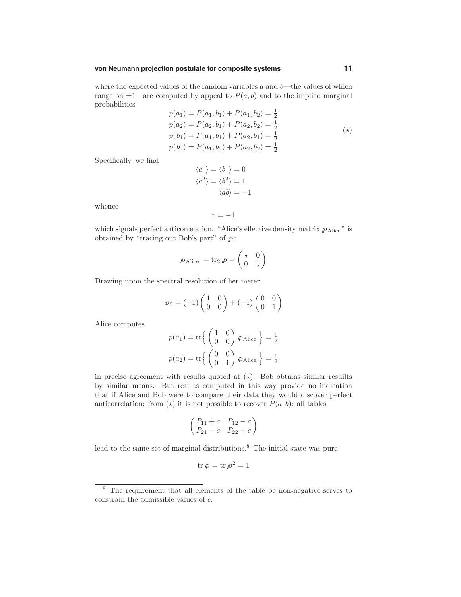#### **von Neumann projection postulate for composite systems 11**

where the expected values of the random variables  $a$  and  $b$ —the values of which range on  $\pm 1$ —are computed by appeal to  $P(a, b)$  and to the implied marginal probabilities  $p(1) = p(1) + p(-1)$ 

$$
p(a_1) = P(a_1, b_1) + P(a_1, b_2) = \frac{1}{2}
$$
  
\n
$$
p(a_2) = P(a_2, b_1) + P(a_2, b_2) = \frac{1}{2}
$$
  
\n
$$
p(b_1) = P(a_1, b_1) + P(a_2, b_1) = \frac{1}{2}
$$
  
\n
$$
p(b_2) = P(a_1, b_2) + P(a_2, b_2) = \frac{1}{2}
$$
\n(\*)

Specifically, we find

$$
\langle a \rangle = \langle b \rangle = 0
$$

$$
\langle a^2 \rangle = \langle b^2 \rangle = 1
$$

$$
\langle ab \rangle = -1
$$

whence

$$
r = -1
$$

which signals perfect anticorrelation. "Alice's effective density matrix  $\rho_{\text{Alice}}$ " is obtained by "tracing out Bob's part" of  $\rho$ :

$$
\varphi_{\text{Alice}} = \text{tr}_2 \,\varphi = \begin{pmatrix} \frac{1}{2} & 0\\ 0 & \frac{1}{2} \end{pmatrix}
$$

Drawing upon the spectral resolution of her meter

$$
\sigma_3 = (+1)\begin{pmatrix} 1 & 0 \\ 0 & 0 \end{pmatrix} + (-1)\begin{pmatrix} 0 & 0 \\ 0 & 1 \end{pmatrix}
$$

Alice computes

$$
p(a_1) = \text{tr}\left\{ \begin{pmatrix} 1 & 0 \\ 0 & 0 \end{pmatrix} \varphi_{\text{Alice}} \right\} = \frac{1}{2}
$$

$$
p(a_2) = \text{tr}\left\{ \begin{pmatrix} 0 & 0 \\ 0 & 1 \end{pmatrix} \varphi_{\text{Alice}} \right\} = \frac{1}{2}
$$

in precise agreement with results quoted at  $(\star)$ . Bob obtains similar results by similar means. But results computed in this way provide no indication that if Alice and Bob were to compare their data they would discover perfect anticorrelation: from  $(\star)$  it is not possible to recover  $P(a, b)$ : all tables

$$
\begin{pmatrix}\nP_{11}+c & P_{12}-c \\
P_{21}-c & P_{22}+c\n\end{pmatrix}
$$

lead to the same set of marginal distributions.<sup>8</sup> The initial state was pure

$$
\operatorname{tr} \rho = \operatorname{tr} \rho^2 = 1
$$

<sup>8</sup> The requirement that all elements of the table be non-negative serves to constrain the admissible values of  $c$ .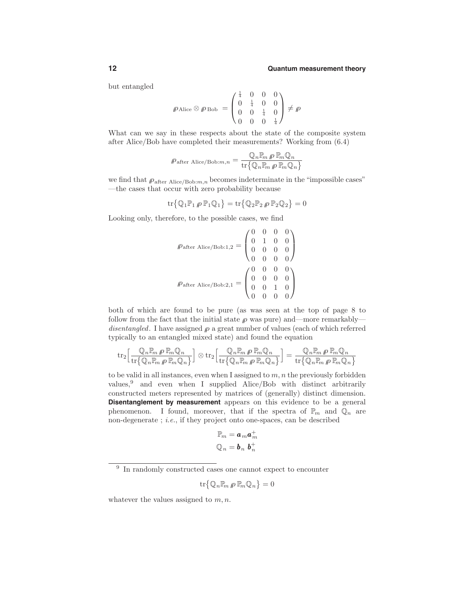but entangled

$$
\mathcal{P} \text{Alice} \otimes \mathcal{P} \text{ Bob } = \begin{pmatrix} \frac{1}{4} & 0 & 0 & 0 \\ 0 & \frac{1}{4} & 0 & 0 \\ 0 & 0 & \frac{1}{4} & 0 \\ 0 & 0 & 0 & \frac{1}{4} \end{pmatrix} \neq \mathcal{P}
$$

What can we say in these respects about the state of the composite system after Alice/Bob have completed their measurements? Working from (6.4)

$$
\mathcal{P}_{\text{after Alice/Bob}:m,n} = \frac{\mathbb{Q}_n \mathbb{P}_m \, \rho \, \mathbb{P}_m \mathbb{Q}_n}{\text{tr} \{ \mathbb{Q}_n \mathbb{P}_m \, \rho \, \mathbb{P}_m \mathbb{Q}_n \}}
$$

we find that  $\rho_{\text{after Alice/Bob}:m,n}$  becomes indeterminate in the "impossible cases" —the cases that occur with zero probability because

$$
\mathrm{tr}\big\{ \mathbb{Q}_1\mathbb{P}_1\,\rho\,\mathbb{P}_1\mathbb{Q}_1 \big\} = \mathrm{tr}\big\{ \mathbb{Q}_2\mathbb{P}_2\,\rho\,\mathbb{P}_2\mathbb{Q}_2 \big\} = 0
$$

Looking only, therefore, to the possible cases, we find

$$
\varphi_{\text{after Alice/Bob:1,2}} = \begin{pmatrix} 0 & 0 & 0 & 0 \\ 0 & 1 & 0 & 0 \\ 0 & 0 & 0 & 0 \\ 0 & 0 & 0 & 0 \end{pmatrix}
$$

$$
\varphi_{\text{after Alice/Bob:2,1}} = \begin{pmatrix} 0 & 0 & 0 & 0 \\ 0 & 0 & 0 & 0 \\ 0 & 0 & 1 & 0 \\ 0 & 0 & 0 & 0 \end{pmatrix}
$$

both of which are found to be pure (as was seen at the top of page 8 to follow from the fact that the initial state  $\rho$  was pure) and—more remarkably disentangled. I have assigned  $\rho$  a great number of values (each of which referred typically to an entangled mixed state) and found the equation

$$
\mathrm{tr}_2\Big[\frac{\mathbb{Q}_n\mathbb{P}_m\,\rho\,\mathbb{P}_m\mathbb{Q}_n}{\mathrm{tr}\big\{\mathbb{Q}_n\mathbb{P}_m\,\rho\,\mathbb{P}_m\mathbb{Q}_n\big\}}\Big]\otimes\mathrm{tr}_2\Big[\frac{\mathbb{Q}_n\mathbb{P}_m\,\rho\,\mathbb{P}_m\mathbb{Q}_n}{\mathrm{tr}\big\{\mathbb{Q}_n\mathbb{P}_m\,\rho\,\mathbb{P}_m\mathbb{Q}_n\big\}}\Big]=\frac{\mathbb{Q}_n\mathbb{P}_m\,\rho\,\mathbb{P}_m\mathbb{Q}_n}{\mathrm{tr}\big\{\mathbb{Q}_n\mathbb{P}_m\,\rho\,\mathbb{P}_m\mathbb{Q}_n\big\}}
$$

to be valid in all instances, even when I assigned to  $m, n$  the previously forbidden values,<sup>9</sup> and even when I supplied Alice/Bob with distinct arbitrarily constructed meters represented by matrices of (generally) distinct dimension. **Disentanglement by measurement** appears on this evidence to be a general phenomenon. I found, moreover, that if the spectra of  $\mathbb{P}_m$  and  $\mathbb{Q}_n$  are non-degenerate ; i.e., if they project onto one-spaces, can be described

$$
\mathbb{P}_m = \boldsymbol{a}_m \boldsymbol{a}_m^+
$$

$$
\mathbb{Q}_n = \boldsymbol{b}_n \; \boldsymbol{b}_n^+
$$

$$
\mathrm{tr}\big\{\mathbb{Q}_n\mathbb{P}_m\,\rho\,\mathbb{P}_m\mathbb{Q}_n\big\}=0
$$

whatever the values assigned to  $m, n$ .

<sup>9</sup> In randomly constructed cases one cannot expect to encounter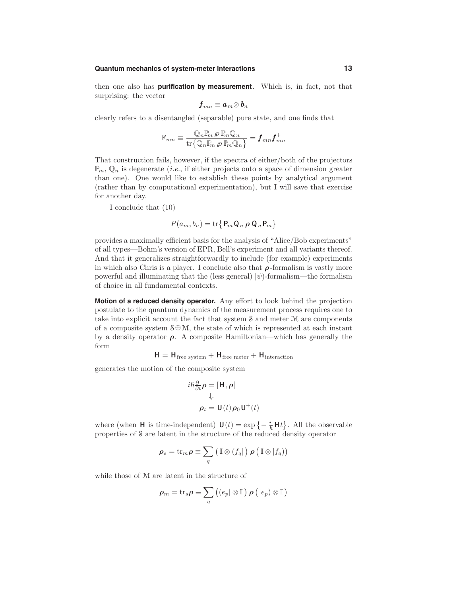then one also has **purification by measurement**. Which is, in fact, not that surprising: the vector

$$
\boldsymbol{f}_{mn}\equiv \boldsymbol{a}_{m}\!\otimes \boldsymbol{b}_{n}
$$

clearly refers to a disentangled (separable) pure state, and one finds that

$$
\mathbb{F}_{mn} \equiv \frac{\mathbb{Q}_n \mathbb{P}_m\, \rho\,\mathbb{P}_m \mathbb{Q}_n}{\mathrm{tr}\big\{\mathbb{Q}_n \mathbb{P}_m\, \rho\,\mathbb{P}_m \mathbb{Q}_n\big\}} = \boldsymbol{f}_{mn} \boldsymbol{f}_{mn}^+
$$

That construction fails, however, if the spectra of either/both of the projectors  $\mathbb{P}_m$ ,  $\mathbb{Q}_n$  is degenerate *(i.e.*, if either projects onto a space of dimension greater than one). One would like to establish these points by analytical argument (rather than by computational experimentation), but I will save that exercise for another day.

I conclude that (10)

$$
P(a_m, b_n) = \text{tr}\{P_m \mathbf{Q}_n \, \boldsymbol{\rho} \, \mathbf{Q}_n P_m\}
$$

provides a maximally efficient basis for the analysis of "Alice/Bob experiments" of all types—Bohm's version of EPR, Bell's experiment and all variants thereof. And that it generalizes straightforwardly to include (for example) experiments in which also Chris is a player. I conclude also that  $\rho$ -formalism is vastly more powerful and illuminating that the (less general)  $|\psi\rangle$ -formalism—the formalism of choice in all fundamental contexts.

**Motion of a reduced density operator.** Any effort to look behind the projection postulate to the quantum dynamics of the measurement process requires one to take into explicit account the fact that system S and meter M are components of a composite system  $\mathcal{S} \oplus \mathcal{M}$ , the state of which is represented at each instant by a density operator  $\rho$ . A composite Hamiltonian—which has generally the form

$$
H = H_{\rm free\ system} + H_{\rm free\ meter} + H_{\rm interaction}
$$

generates the motion of the composite system

$$
i\hbar \frac{\partial}{\partial t} \rho = [\mathbf{H}, \rho]
$$
  

$$
\Downarrow
$$
  

$$
\rho_t = \mathbf{U}(t) \rho_0 \mathbf{U}^+(t)
$$

where (when **H** is time-independent)  $\mathbf{U}(t) = \exp\left\{-\frac{i}{\hbar} \mathbf{H} t\right\}$ . All the observable properties of S are latent in the structure of the reduced density operator

$$
\rho_s = \operatorname{tr}_m \rho \equiv \sum_q \left( \mathbb{I} \otimes (f_q | ) \rho \left( \mathbb{I} \otimes |f_q \right) \right)
$$

while those of M are latent in the structure of

$$
\boldsymbol{\rho}_m = \mathrm{tr}_s \boldsymbol{\rho} \equiv \sum_{q} \left( \left( e_p \vert \otimes \mathbb{I} \right) \boldsymbol{\rho} \left( \vert e_p \right) \otimes \mathbb{I} \right)
$$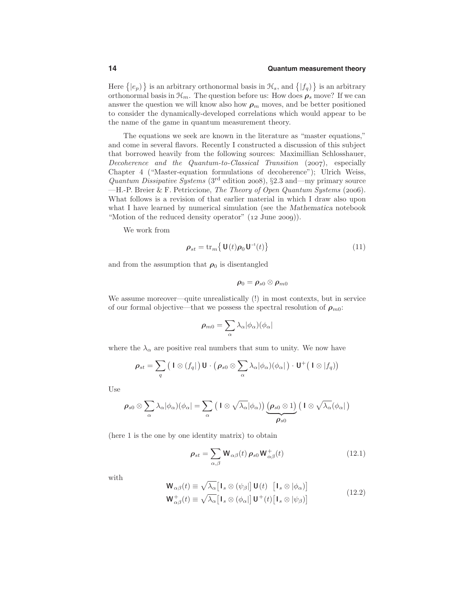Here  $\{|e_p\rangle\}$  is an arbitrary orthonormal basis in  $\mathcal{H}_s$ , and  $\{|f_q\rangle\}$  is an arbitrary orthonormal basis in  $\mathcal{H}_m$ . The question before us: How does  $\rho_s$  move? If we can answer the question we will know also how  $\rho_m$  moves, and be better positioned to consider the dynamically-developed correlations which would appear to be the name of the game in quantum measurement theory.

The equations we seek are known in the literature as "master equations," and come in several flavors. Recently I constructed a discussion of this subject that borrowed heavily from the following sources: Maximillian Schlosshauer, Decoherence and the Quantum-to-Classical Transition  $(2007)$ , especially Chapter 4 ("Master-equation formulations of decoherence"); Ulrich Weiss, Quantum Dissipative Systems (3<sup>rd</sup> edition 2008), §2.3 and—my primary source  $-H.-P.$  Breier & F. Petriccione, The Theory of Open Quantum Systems (2006). What follows is a revision of that earlier material in which I draw also upon what I have learned by numerical simulation (see the Mathematica notebook "Motion of the reduced density operator"  $(12 \text{ June } 2009)$ .

We work from

$$
\rho_{st} = \operatorname{tr}_m \left\{ \mathbf{U}(t)\rho_0 \mathbf{U}^{-1}(t) \right\} \tag{11}
$$

and from the assumption that  $\rho_0$  is disentangled

$$
\boldsymbol{\rho_0=\rho_{s0}\otimes\rho_{m0}}
$$

We assume moreover—quite unrealistically (!) in most contexts, but in service of our formal objective—that we possess the spectral resolution of  $\rho_{m0}$ :

$$
\rho_{m0} = \sum_{\alpha} \lambda_{\alpha} |\phi_{\alpha}\rangle (\phi_{\alpha}|
$$

where the  $\lambda_{\alpha}$  are positive real numbers that sum to unity. We now have

$$
\rho_{st} = \sum_{q} (1 \otimes (f_q | U \cdot (\rho_{s0} \otimes \sum_{\alpha} \lambda_{\alpha} | \phi_{\alpha}) (\phi_{\alpha} | U \cdot (1 \otimes |f_q))
$$

Use

$$
\rho_{s0}\otimes\sum_{\alpha}\lambda_{\alpha}|\phi_{\alpha})(\phi_{\alpha}|=\sum_{\alpha}\left(1\otimes\sqrt{\lambda_{\alpha}}|\phi_{\alpha}\right)\underbrace{\left(\rho_{s0}\otimes1\right)}_{\rho_{s0}}\left(1\otimes\sqrt{\lambda_{\alpha}}(\phi_{\alpha}|\right)
$$

(here 1 is the one by one identity matrix) to obtain

$$
\rho_{st} = \sum_{\alpha,\beta} \mathbf{W}_{\alpha\beta}(t) \, \rho_{s0} \mathbf{W}_{\alpha\beta}^+(t) \tag{12.1}
$$

with

$$
\mathbf{W}_{\alpha\beta}(t) \equiv \sqrt{\lambda_{\alpha}} \left[ \mathbf{I}_{s} \otimes (\psi_{\beta}) \right] \mathbf{U}(t) \left[ \mathbf{I}_{s} \otimes |\phi_{\alpha} \right] \n\mathbf{W}_{\alpha\beta}^{+}(t) \equiv \sqrt{\lambda_{\alpha}} \left[ \mathbf{I}_{s} \otimes (\phi_{\alpha}) \right] \mathbf{U}^{+}(t) \left[ \mathbf{I}_{s} \otimes |\psi_{\beta} \right]
$$
\n(12.2)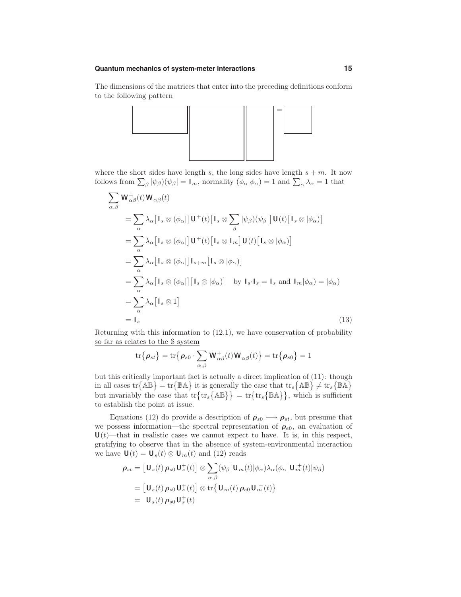The dimensions of the matrices that enter into the preceding definitions conform to the following pattern



where the short sides have length s, the long sides have length  $s + m$ . It now follows from  $\sum_{\beta} |\psi_{\beta}(\psi_{\beta}| = I_m$ , normality  $(\phi_{\alpha} | \phi_{\alpha}) = 1$  and  $\sum_{\alpha} \lambda_{\alpha} = 1$  that

$$
\sum_{\alpha,\beta} \mathbf{W}_{\alpha\beta}^{+}(t) \mathbf{W}_{\alpha\beta}(t)
$$
\n
$$
= \sum_{\alpha} \lambda_{\alpha} [\mathbf{I}_{s} \otimes (\phi_{\alpha}]] \mathbf{U}^{+}(t) [\mathbf{I}_{s} \otimes \sum_{\beta} |\psi_{\beta})(\psi_{\beta}]] \mathbf{U}(t) [\mathbf{I}_{s} \otimes |\phi_{\alpha}]\n\n= \sum_{\alpha} \lambda_{\alpha} [\mathbf{I}_{s} \otimes (\phi_{\alpha}]] \mathbf{U}^{+}(t) [\mathbf{I}_{s} \otimes \mathbf{I}_{m}] \mathbf{U}(t) [\mathbf{I}_{s} \otimes |\phi_{\alpha}]\n\n= \sum_{\alpha} \lambda_{\alpha} [\mathbf{I}_{s} \otimes (\phi_{\alpha}]] \mathbf{I}_{s+m} [\mathbf{I}_{s} \otimes |\phi_{\alpha}]\n\n= \sum_{\alpha} \lambda_{\alpha} [\mathbf{I}_{s} \otimes (\phi_{\alpha}]] [\mathbf{I}_{s} \otimes |\phi_{\alpha}]\n\n= \sum_{\alpha} \lambda_{\alpha} [\mathbf{I}_{s} \otimes 1] \mathbf{I}_{s}
$$
\n
$$
= \mathbf{I}_{s}
$$
\n(13)

Returning with this information to (12.1), we have conservation of probability so far as relates to the S system

$$
\text{tr}\{\boldsymbol{\rho}_{st}\} = \text{tr}\{\boldsymbol{\rho}_{s0} \cdot \sum_{\alpha,\beta} \mathbf{W}^+_{\alpha\beta}(t) \mathbf{W}_{\alpha\beta}(t)\} = \text{tr}\{\boldsymbol{\rho}_{s0}\} = 1
$$

but this critically important fact is actually a direct implication of (11): though in all cases  $\text{tr}\{\mathbb{AB}\} = \text{tr}\{\mathbb{BA}\}$  it is generally the case that  $\text{tr}_s\{\mathbb{AB}\} \neq \text{tr}_s\{\mathbb{BA}\}$ but invariably the case that  $\{tr\{tr_s\} \wedge \mathbb{B}\} = tr\{tr_s\{\mathbb{B} \wedge \} \}$ , which is sufficient to establish the point at issue.

Equations (12) do provide a description of  $\rho_{s0} \mapsto \rho_{st}$ , but presume that we possess information—the spectral representation of  $\rho_{e0}$ , an evaluation of  $U(t)$ —that in realistic cases we cannot expect to have. It is, in this respect, gratifying to observe that in the absence of system-environmental interaction we have  $\mathbf{U}(t) = \mathbf{U}_s(t) \otimes \mathbf{U}_m(t)$  and (12) reads

$$
\rho_{st} = \left[\mathbf{U}_s(t) \, \rho_{s0} \, \mathbf{U}_s^+(t)\right] \otimes \sum_{\alpha,\beta} (\psi_\beta | \mathbf{U}_m(t) | \phi_\alpha) \lambda_\alpha (\phi_\alpha | \mathbf{U}_m^+(t) | \psi_\beta)
$$
\n
$$
= \left[\mathbf{U}_s(t) \, \rho_{s0} \, \mathbf{U}_s^+(t)\right] \otimes \text{tr}\left\{\mathbf{U}_m(t) \, \rho_{e0} \, \mathbf{U}_m^+(t)\right\}
$$
\n
$$
= \mathbf{U}_s(t) \, \rho_{s0} \, \mathbf{U}_s^+(t)
$$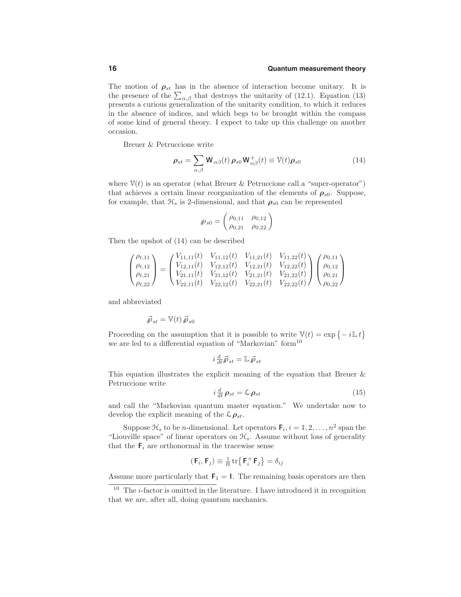#### **16 Quantum measurement theory**

The motion of  $\rho_{st}$  has in the absence of interaction become unitary. It is the presence of the  $\sum_{\alpha,\beta}$  that destroys the unitarity of (12.1). Equation (13) presents a curious generalization of the unitarity condition, to which it reduces in the absence of indices, and which begs to be brought within the compass of some kind of general theory. I expect to take up this challenge on another occasion.

Breuer & Petruccione write

$$
\rho_{st} = \sum_{\alpha,\beta} \mathbf{W}_{\alpha\beta}(t) \, \rho_{s0} \mathbf{W}_{\alpha\beta}^+(t) \equiv \mathcal{V}(t) \rho_{s0} \tag{14}
$$

where  $\mathcal{V}(t)$  is an operator (what Breuer & Petruccione call a "super-operator") that achieves a certain linear reorganization of the elements of  $\rho_{s0}$ . Suppose, for example, that  $\mathcal{H}_s$  is 2-dimensional, and that  $\rho_{s0}$  can be represented

$$
\rho_{s0} = \begin{pmatrix} \rho_{0,11} & \rho_{0,12} \\ \rho_{0,21} & \rho_{0,22} \end{pmatrix}
$$

Then the upshot of (14) can be described

$$
\begin{pmatrix}\n\rho_{t,11} \\
\rho_{t,12} \\
\rho_{t,21} \\
\rho_{t,22}\n\end{pmatrix} = \begin{pmatrix}\nV_{11,11}(t) & V_{11,12}(t) & V_{11,21}(t) & V_{11,22}(t) \\
V_{12,11}(t) & V_{12,12}(t) & V_{12,21}(t) & V_{12,22}(t) \\
V_{21,11}(t) & V_{21,12}(t) & V_{21,21}(t) & V_{21,22}(t) \\
V_{22,11}(t) & V_{22,12}(t) & V_{22,21}(t) & V_{22,22}(t)\n\end{pmatrix} \begin{pmatrix}\n\rho_{0,11} \\
\rho_{0,12} \\
\rho_{0,21} \\
\rho_{0,22}\n\end{pmatrix}
$$

and abbreviated

$$
\vec{\rho}_{st} = \mathbb{V}(t) \,\vec{\rho}_{s0}
$$

Proceeding on the assumption that it is possible to write  $\mathbb{V}(t) = \exp \{-i \mathbb{L} t\}$ we are led to a differential equation of "Markovian" form<sup>10</sup>

$$
i \frac{d}{dt} \vec{\rho}_{st} = \mathbb{L} \vec{\rho}_{st}
$$

This equation illustrates the explicit meaning of the equation that Breuer & Petruccione write

$$
i\frac{d}{dt}\rho_{st} = \mathcal{L}\rho_{st} \tag{15}
$$

and call the "Markovian quantum master equation." We undertake now to develop the explicit meaning of the  $\mathcal{L} \rho_{st}$ .

Suppose  $\mathcal{H}_s$  to be *n*-dimensional. Let operators  $\mathbf{F}_i, i = 1, 2, \ldots, n^2$  span the "Liouville space" of linear operators on  $\mathcal{H}_s$ . Assume without loss of generality that the  $F_i$  are orthonormal in the tracewise sense

$$
(\mathsf{F}_i, \mathsf{F}_j) \equiv \tfrac{1}{n} \operatorname{tr} \bigl\{ \mathsf{F}_i^+ \mathsf{F}_j \bigr\} = \delta_{ij}
$$

Assume more particularly that  $F_1 = I$ . The remaining basis operators are then

 $10$  The *i*-factor is omitted in the literature. I have introduced it in recognition that we are, after all, doing quantum mechanics.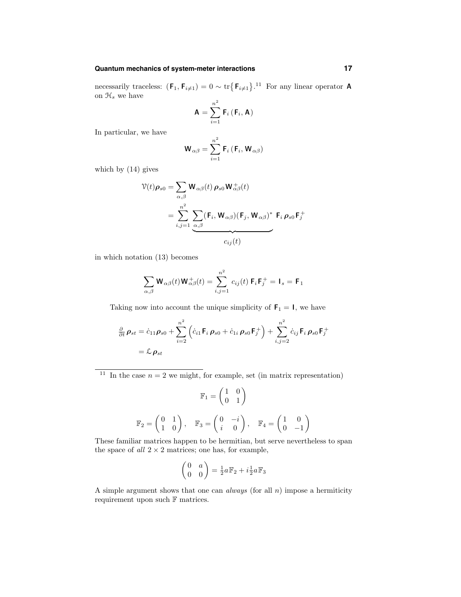necessarily traceless:  $(\mathbf{F}_1, \mathbf{F}_{i \neq 1}) = 0 \sim \text{tr}\left\{\mathbf{F}_{i \neq 1}\right\}.$ <sup>11</sup> For any linear operator **A** on  $\mathcal{H}_s$  we have

$$
\mathbf{A} = \sum_{i=1}^{n^2} \mathbf{F}_i \left( \mathbf{F}_i, \mathbf{A} \right)
$$

In particular, we have

$$
\mathbf{W}_{\alpha\beta} = \sum_{i=1}^{n^2} \mathbf{F}_i (\mathbf{F}_i, \mathbf{W}_{\alpha\beta})
$$

which by (14) gives

$$
\mathcal{V}(t)\rho_{s0} = \sum_{\alpha,\beta} \mathbf{W}_{\alpha\beta}(t) \rho_{s0} \mathbf{W}_{\alpha\beta}^{+}(t)
$$

$$
= \sum_{i,j=1}^{n^2} \underbrace{\sum_{\alpha,\beta} (\mathbf{F}_i, \mathbf{W}_{\alpha\beta}) (\mathbf{F}_j, \mathbf{W}_{\alpha\beta})^* \mathbf{F}_i \rho_{s0} \mathbf{F}_j^{+}}_{C_{ij}(t)}
$$

in which notation (13) becomes

$$
\sum_{\alpha,\beta} \mathbf{W}_{\alpha\beta}(t) \mathbf{W}_{\alpha\beta}^+(t) = \sum_{i,j=1}^{n^2} c_{ij}(t) \mathbf{F}_i \mathbf{F}_j^+ = \mathbf{I}_s = \mathbf{F}_1
$$

Taking now into account the unique simplicity of  $F_1 = I$ , we have

$$
\frac{\partial}{\partial t} \rho_{st} = \dot{c}_{11} \rho_{s0} + \sum_{i=2}^{n^2} \left( \dot{c}_{i1} \mathsf{F}_i \, \rho_{s0} + \dot{c}_{1i} \, \rho_{s0} \mathsf{F}_j^+ \right) + \sum_{i,j=2}^{n^2} \dot{c}_{ij} \mathsf{F}_i \, \rho_{s0} \mathsf{F}_j^+
$$
\n
$$
= \mathcal{L} \, \rho_{st}
$$

<sup>11</sup> In the case  $n = 2$  we might, for example, set (in matrix representation)

$$
\mathbb{F}_1 = \begin{pmatrix} 1 & 0 \\ 0 & 1 \end{pmatrix}
$$

$$
\mathbb{F}_2 = \begin{pmatrix} 0 & 1 \\ 1 & 0 \end{pmatrix}, \quad \mathbb{F}_3 = \begin{pmatrix} 0 & -i \\ i & 0 \end{pmatrix}, \quad \mathbb{F}_4 = \begin{pmatrix} 1 & 0 \\ 0 & -1 \end{pmatrix}
$$

These familiar matrices happen to be hermitian, but serve nevertheless to span the space of all  $2 \times 2$  matrices; one has, for example,

$$
\begin{pmatrix} 0 & a \\ 0 & 0 \end{pmatrix} = \frac{1}{2}a \mathbb{F}_2 + i \frac{1}{2}a \mathbb{F}_3
$$

A simple argument shows that one can *always* (for all  $n$ ) impose a hermiticity requirement upon such  ${\mathbb F}$  matrices.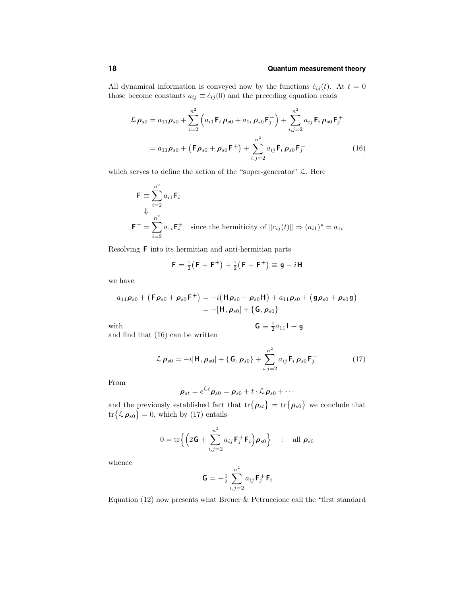#### **18 Quantum measurement theory**

All dynamical information is conveyed now by the functions  $\dot{c}_{ij}(t)$ . At  $t = 0$ those become constants  $a_{ij} \equiv \dot{c}_{ij}(0)$  and the preceding equation reads

$$
\mathcal{L} \rho_{s0} = a_{11} \rho_{s0} + \sum_{i=2}^{n^2} \left( a_{i1} \mathbf{F}_i \rho_{s0} + a_{1i} \rho_{s0} \mathbf{F}_j^+ \right) + \sum_{i,j=2}^{n^2} a_{ij} \mathbf{F}_i \rho_{s0} \mathbf{F}_j^+
$$
  
=  $a_{11} \rho_{s0} + \left( \mathbf{F} \rho_{s0} + \rho_{s0} \mathbf{F}^+ \right) + \sum_{i,j=2}^{n^2} a_{ij} \mathbf{F}_i \rho_{s0} \mathbf{F}_j^+$  (16)

which serves to define the action of the "super-generator" L. Here

$$
\mathsf{F} \equiv \sum_{i=2}^{n^2} a_{i1} \mathsf{F}_i
$$
  

$$
\Downarrow \qquad \qquad \downarrow \qquad \downarrow
$$
  

$$
\mathsf{F}^+ = \sum_{i=2}^{n^2} a_{1i} \mathsf{F}_i^+ \quad \text{since the hermiticity of } \|c_{ij}(t)\| \Rightarrow (a_{i1})^* = a_{1i}
$$

Resolving F into its hermitian and anti-hermitian parts

$$
F = \frac{1}{2}(F + F^{+}) + \frac{1}{2}(F - F^{+}) \equiv g - iH
$$

we have

$$
a_{11}\rho_{s0} + (\mathsf{F}\rho_{s0} + \rho_{s0}\mathsf{F}^+) = -i(\mathsf{H}\rho_{s0} - \rho_{s0}\mathsf{H}) + a_{11}\rho_{s0} + (\mathsf{g}\rho_{s0} + \rho_{s0}\mathsf{g})
$$
  
= -[\mathsf{H}, \rho\_{s0}] + {\mathsf{G}, \rho\_{s0}}

$$
\mathbf{G} \equiv \frac{1}{2}a_{11}\mathbf{I} + \mathbf{g}
$$

with  $\mathsf{G} \equiv \frac{1}{2}$ and find that (16) can be written

$$
\mathcal{L}\,\rho_{s0} = -i[\mathbf{H},\rho_{s0}] + \{\mathbf{G},\rho_{s0}\} + \sum_{i,j=2}^{n^2} a_{ij}\,\mathbf{F}_i\,\rho_{s0}\,\mathbf{F}_j^+\tag{17}
$$

From

$$
\boldsymbol{\rho}_{st}=e^{\mathcal{L}t}\boldsymbol{\rho}_{s0}=\boldsymbol{\rho}_{s0}+t\cdot\mathcal{L}\,\boldsymbol{\rho}_{s0}+\cdots
$$

and the previously established fact that  $\text{tr}\{\boldsymbol{\rho}_{st}\} = \text{tr}\{\boldsymbol{\rho}_{s0}\}\$  we conclude that  $\text{tr}\{\mathcal{L}\boldsymbol{\rho}_{s0}\}=0$ , which by (17) entails

$$
0 = \operatorname{tr}\left\{ \left( 2\mathbf{G} + \sum_{i,j=2}^{n^2} a_{ij} \mathbf{F}_j^+ \mathbf{F}_i \right) \boldsymbol{\rho}_{s0} \right\} \quad : \quad \text{all } \boldsymbol{\rho}_{s0}
$$

whence

$$
\mathbf{G}=-\tfrac{1}{2}\sum_{i,j=2}^{n^2}a_{ij}\,\mathbf{F}_j^+\,\mathbf{F}_i
$$

Equation (12) now presents what Breuer & Petruccione call the "first standard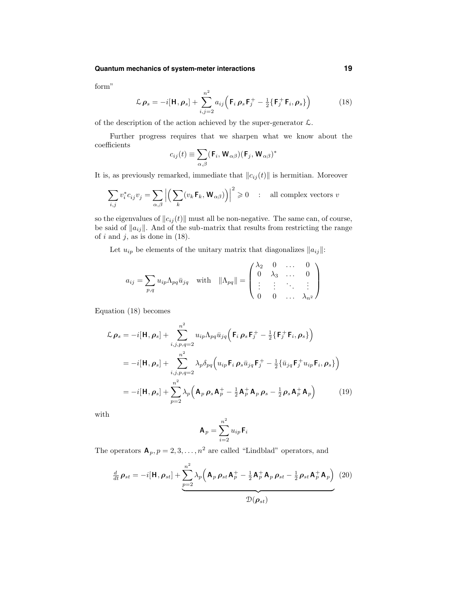form"

$$
\mathcal{L}\rho_s = -i[\mathbf{H}, \rho_s] + \sum_{i,j=2}^{n^2} a_{ij} \left( \mathbf{F}_i \rho_s \mathbf{F}_j^+ - \frac{1}{2} \{ \mathbf{F}_j^+ \mathbf{F}_i, \rho_s \} \right)
$$
(18)

of the description of the action achieved by the super-generator  $\mathcal{L}$ .

Further progress requires that we sharpen what we know about the coefficients

$$
c_{ij}(t) \equiv \sum_{\alpha,\beta} (\mathbf{F}_i, \mathbf{W}_{\alpha\beta})(\mathbf{F}_j, \mathbf{W}_{\alpha\beta})^*
$$

It is, as previously remarked, immediate that  $||c_{ij}(t)||$  is hermitian. Moreover

$$
\sum_{i,j} v_i^* c_{ij} v_j = \sum_{\alpha,\beta} \left| \left( \sum_k (v_k \mathbf{F}_k, \mathbf{W}_{\alpha\beta}) \right) \right|^2 \geq 0 \quad : \quad \text{all complex vectors } v
$$

so the eigenvalues of  $||c_{ij}(t)||$  must all be non-negative. The same can, of course, be said of  $||a_{ij}||$ . And of the sub-matrix that results from restricting the range of  $i$  and  $j$ , as is done in (18).

Let  $u_{ip}$  be elements of the unitary matrix that diagonalizes  $||a_{ij}||$ :

$$
a_{ij} = \sum_{p,q} u_{ip} \Lambda_{pq} \bar{u}_{jq} \quad \text{with} \quad \|\Lambda_{pq}\| = \begin{pmatrix} \lambda_2 & 0 & \dots & 0 \\ 0 & \lambda_3 & \dots & 0 \\ \vdots & \vdots & \ddots & \vdots \\ 0 & 0 & \dots & \lambda_{n^2} \end{pmatrix}
$$

Equation (18) becomes

$$
\mathcal{L} \rho_s = -i[\mathbf{H}, \rho_s] + \sum_{i,j,p,q=2}^{n^2} u_{ip} \Lambda_{pq} \bar{u}_{jq} (\mathbf{F}_i \rho_s \mathbf{F}_j^+ - \frac{1}{2} {\{\mathbf{F}_j^+ \mathbf{F}_i, \rho_s\}})
$$
  
\n
$$
= -i[\mathbf{H}, \rho_s] + \sum_{i,j,p,q=2}^{n^2} \lambda_p \delta_{pq} (u_{ip} \mathbf{F}_i \rho_s \bar{u}_{jq} \mathbf{F}_j^+ - \frac{1}{2} {\{\bar{u}_{jq} \mathbf{F}_j^+ u_{ip} \mathbf{F}_i, \rho_s\}})
$$
  
\n
$$
= -i[\mathbf{H}, \rho_s] + \sum_{p=2}^{n^2} \lambda_p (\mathbf{A}_p \rho_s \mathbf{A}_p^+ - \frac{1}{2} \mathbf{A}_p^+ \mathbf{A}_p \rho_s - \frac{1}{2} \rho_s \mathbf{A}_p^+ \mathbf{A}_p)
$$
(19)

with

$$
\mathbf{A}_p = \sum_{i=2}^{n^2} u_{ip} \mathbf{F}_i
$$

The operators  $\mathbf{A}_p, p = 2, 3, ..., n^2$  are called "Lindblad" operators, and

$$
\frac{d}{dt}\rho_{st} = -i[\mathbf{H}, \rho_{st}] + \underbrace{\sum_{p=2}^{n^2} \lambda_p \left(\mathbf{A}_p \rho_{st} \mathbf{A}_p^+ - \frac{1}{2} \mathbf{A}_p^+ \mathbf{A}_p \rho_{st} - \frac{1}{2} \rho_{st} \mathbf{A}_p^+ \mathbf{A}_p\right)}_{\mathcal{D}(\rho_{st})}
$$
(20)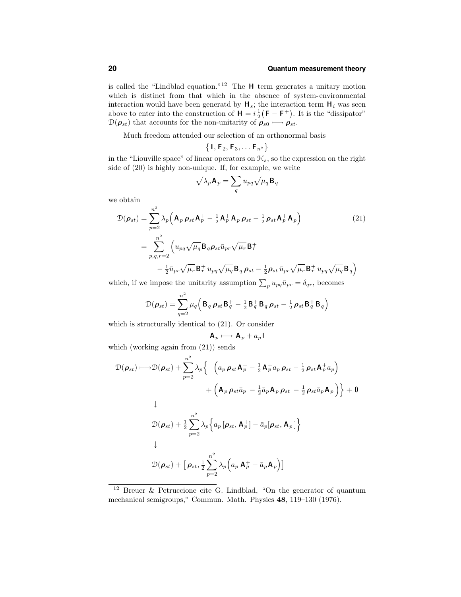### **20 Quantum measurement theory**

is called the "Lindblad equation."<sup>12</sup> The  $H$  term generates a unitary motion which is distinct from that which in the absence of system-environmental interaction would have been generatd by  $H_s$ ; the interaction term  $H_i$  was seen above to enter into the construction of  $H = i \frac{1}{2} (F - F^+)$ . It is the "dissipator"  $\mathcal{D}(\boldsymbol{\rho}_{st})$  that accounts for the non-unitarity of  $\boldsymbol{\rho}_{s0} \longmapsto \boldsymbol{\rho}_{st}$ .

Much freedom attended our selection of an orthonormal basis

$$
\left\{\mathsf{I},\mathsf{F}_2,\mathsf{F}_3,\ldots \mathsf{F}_{n^2}\right\}
$$

in the "Liouville space" of linear operators on  $\mathcal{H}_s$ , so the expression on the right side of (20) is highly non-unique. If, for example, we write

$$
\sqrt{\lambda_p}\mathbf{A}_p=\sum_q u_{pq}\sqrt{\mu_q}\mathbf{B}_q
$$

we obtain

$$
\mathcal{D}(\rho_{st}) = \sum_{p=2}^{n^2} \lambda_p \left( \mathbf{A}_p \, \rho_{st} \mathbf{A}_p^+ - \frac{1}{2} \mathbf{A}_p^+ \mathbf{A}_p \, \rho_{st} - \frac{1}{2} \rho_{st} \mathbf{A}_p^+ \mathbf{A}_p \right)
$$
\n
$$
= \sum_{p,q,r=2}^{n^2} \left( u_{pq} \sqrt{\mu_q} \mathbf{B}_q \rho_{st} \bar{u}_{pr} \sqrt{\mu_r} \mathbf{B}_r^+ - \frac{1}{2} \bar{u}_{pr} \sqrt{\mu_r} \mathbf{B}_r^+ u_{pq} \sqrt{\mu_q} \mathbf{B}_q \, \rho_{st} - \frac{1}{2} \rho_{st} \, \bar{u}_{pr} \sqrt{\mu_r} \mathbf{B}_r^+ u_{pq} \sqrt{\mu_q} \mathbf{B}_q \right)
$$
\n(21)

which, if we impose the unitarity assumption  $\sum_{p} u_{pq} \bar{u}_{pr} = \delta_{qr}$ , becomes

$$
\mathcal{D}(\boldsymbol{\rho}_{st}) = \sum_{q=2}^{n^2} \mu_q \left( \mathbf{B}_q \, \boldsymbol{\rho}_{st} \, \mathbf{B}_q^+ - \frac{1}{2} \, \mathbf{B}_q^+ \, \mathbf{B}_q \, \boldsymbol{\rho}_{st} - \frac{1}{2} \, \boldsymbol{\rho}_{st} \, \mathbf{B}_q^+ \, \mathbf{B}_q \right)
$$

which is structurally identical to (21). Or consider

$$
\mathbf{A}_p \longmapsto \mathbf{A}_p + a_p \mathbf{I}
$$

which (working again from  $(21)$ ) sends

$$
\mathcal{D}(\rho_{st}) \longmapsto \mathcal{D}(\rho_{st}) + \sum_{p=2}^{n^2} \lambda_p \Big\{ \left( a_p \rho_{st} \mathbf{A}_p^+ - \frac{1}{2} \mathbf{A}_p^+ a_p \rho_{st} - \frac{1}{2} \rho_{st} \mathbf{A}_p^+ a_p \right) \right. \\
\left. + \left( \mathbf{A}_p \rho_{st} \bar{a}_p - \frac{1}{2} \bar{a}_p \mathbf{A}_p \rho_{st} - \frac{1}{2} \rho_{st} \bar{a}_p \mathbf{A}_p \right) \Big\} + \mathbf{0}
$$
\n
$$
\downarrow
$$
\n
$$
\mathcal{D}(\rho_{st}) + \frac{1}{2} \sum_{p=2}^{n^2} \lambda_p \Big\{ a_p \left[ \rho_{st}, \mathbf{A}_p^+ \right] - \bar{a}_p[\rho_{st}, \mathbf{A}_p] \Big\}
$$
\n
$$
\downarrow
$$
\n
$$
\mathcal{D}(\rho_{st}) + \left[ \rho_{st}, \frac{1}{2} \sum_{p=2}^{n^2} \lambda_p \left( a_p \mathbf{A}_p^+ - \bar{a}_p \mathbf{A}_p \right) \right]
$$

<sup>12</sup> Breuer & Petruccione cite G. Lindblad, "On the generator of quantum mechanical semigroups," Commun. Math. Physics 48, 119–130 (1976).